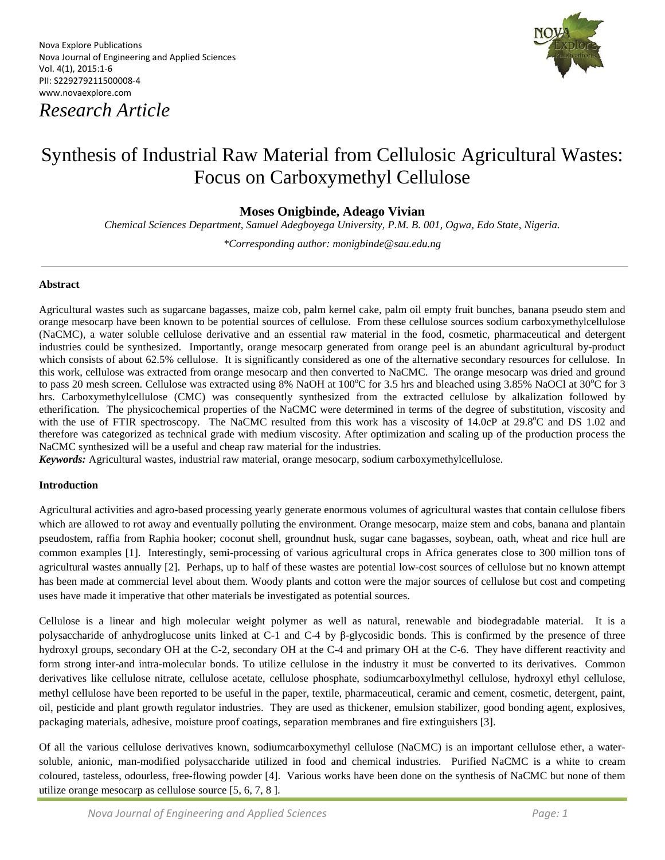Nova Explore Publications Nova Journal of Engineering and Applied Sciences Vol. 4(1), 2015:1-6 PII: S229279211500008-4 www.novaexplore.com

*Research Article*



# Synthesis of Industrial Raw Material from Cellulosic Agricultural Wastes: Focus on Carboxymethyl Cellulose

**Moses Onigbinde, Adeago Vivian**

*10TChemical Sciences Department, Samuel Adegboyega University, P.M. B. 001, Ogwa, Edo State, Nigeria.*

*10T\*Corresponding author: monigbinde@sau.edu.ng* 

#### **Abstract**

Agricultural wastes such as sugarcane bagasses, maize cob, palm kernel cake, palm oil empty fruit bunches, banana pseudo stem and orange mesocarp have been known to be potential sources of cellulose. From these cellulose sources sodium carboxymethylcellulose (NaCMC), a water soluble cellulose derivative and an essential raw material in the food, cosmetic, pharmaceutical and detergent industries could be synthesized. Importantly, orange mesocarp generated from orange peel is an abundant agricultural by-product which consists of about 62.5% cellulose. It is significantly considered as one of the alternative secondary resources for cellulose. In this work, cellulose was extracted from orange mesocarp and then converted to NaCMC. The orange mesocarp was dried and ground to pass 20 mesh screen. Cellulose was extracted using 8% NaOH at 100°C for 3.5 hrs and bleached using 3.85% NaOCl at 30°C for 3 hrs. Carboxymethylcellulose (CMC) was consequently synthesized from the extracted cellulose by alkalization followed by etherification. The physicochemical properties of the NaCMC were determined in terms of the degree of substitution, viscosity and with the use of FTIR spectroscopy. The NaCMC resulted from this work has a viscosity of 14.0cP at 29.8<sup>o</sup>C and DS 1.02 and therefore was categorized as technical grade with medium viscosity. After optimization and scaling up of the production process the NaCMC synthesized will be a useful and cheap raw material for the industries.

*Keywords:* Agricultural wastes, industrial raw material, orange mesocarp, sodium carboxymethylcellulose.

## **Introduction**

Agricultural activities and agro-based processing yearly generate enormous volumes of agricultural wastes that contain cellulose fibers which are allowed to rot away and eventually polluting the environment. Orange mesocarp, maize stem and cobs, banana and plantain pseudostem, raffia from Raphia hooker; coconut shell, groundnut husk, sugar cane bagasses, soybean, oath, wheat and rice hull are common examples [1]. Interestingly, semi-processing of various agricultural crops in Africa generates close to 300 million tons of agricultural wastes annually [2]. Perhaps, up to half of these wastes are potential low-cost sources of cellulose but no known attempt has been made at commercial level about them. Woody plants and cotton were the major sources of cellulose but cost and competing uses have made it imperative that other materials be investigated as potential sources.

Cellulose is a linear and high molecular weight polymer as well as natural, renewable and biodegradable material. It is a polysaccharide of anhydroglucose units linked at C-1 and C-4 by β-glycosidic bonds. This is confirmed by the presence of three hydroxyl groups, secondary OH at the C-2, secondary OH at the C-4 and primary OH at the C-6. They have different reactivity and form strong inter-and intra-molecular bonds. To utilize cellulose in the industry it must be converted to its derivatives. Common derivatives like cellulose nitrate, cellulose acetate, cellulose phosphate, sodiumcarboxylmethyl cellulose, hydroxyl ethyl cellulose, methyl cellulose have been reported to be useful in the paper, textile, pharmaceutical, ceramic and cement, cosmetic, detergent, paint, oil, pesticide and plant growth regulator industries. They are used as thickener, emulsion stabilizer, good bonding agent, explosives, packaging materials, adhesive, moisture proof coatings, separation membranes and fire extinguishers [3].

Of all the various cellulose derivatives known, sodiumcarboxymethyl cellulose (NaCMC) is an important cellulose ether, a watersoluble, anionic, man-modified polysaccharide utilized in food and chemical industries. Purified NaCMC is a white to cream coloured, tasteless, odourless, free-flowing powder [4]. Various works have been done on the synthesis of NaCMC but none of them utilize orange mesocarp as cellulose source [5, 6, 7, 8 ].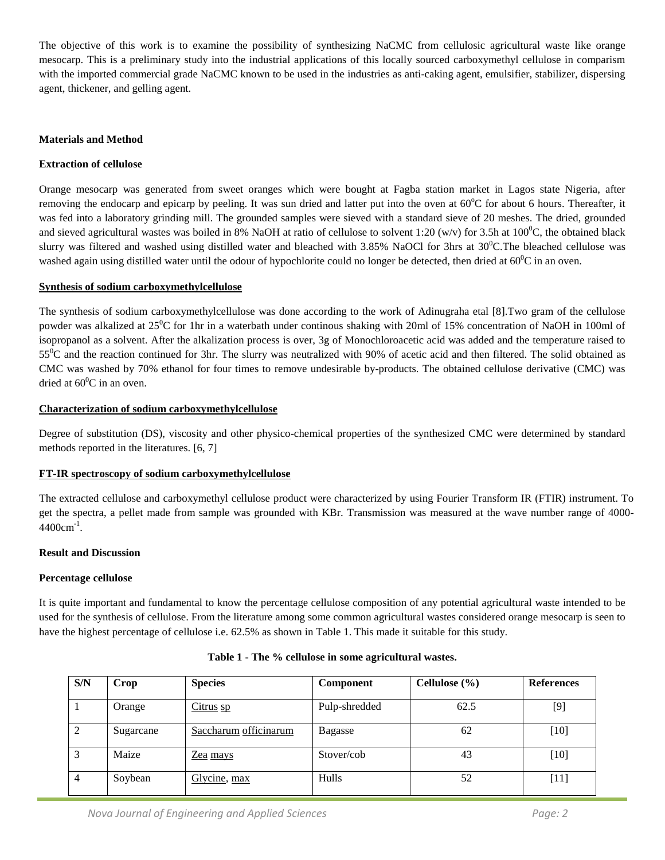The objective of this work is to examine the possibility of synthesizing NaCMC from cellulosic agricultural waste like orange mesocarp. This is a preliminary study into the industrial applications of this locally sourced carboxymethyl cellulose in comparism with the imported commercial grade NaCMC known to be used in the industries as anti-caking agent, emulsifier, stabilizer, dispersing agent, thickener, and gelling agent.

## **Materials and Method**

### **Extraction of cellulose**

Orange mesocarp was generated from sweet oranges which were bought at Fagba station market in Lagos state Nigeria, after removing the endocarp and epicarp by peeling. It was sun dried and latter put into the oven at 60°C for about 6 hours. Thereafter, it was fed into a laboratory grinding mill. The grounded samples were sieved with a standard sieve of 20 meshes. The dried, grounded and sieved agricultural wastes was boiled in 8% NaOH at ratio of cellulose to solvent 1:20 (w/v) for 3.5h at 100<sup>0</sup>C, the obtained black slurry was filtered and washed using distilled water and bleached with  $3.85\%$  NaOCl for 3hrs at  $30^0$ C. The bleached cellulose was washed again using distilled water until the odour of hypochlorite could no longer be detected, then dried at  $60^0C$  in an oven.

### **Synthesis of sodium carboxymethylcellulose**

The synthesis of sodium carboxymethylcellulose was done according to the work of Adinugraha etal [8].Two gram of the cellulose powder was alkalized at 25<sup>°</sup>C for 1hr in a waterbath under continous shaking with 20ml of 15% concentration of NaOH in 100ml of isopropanol as a solvent. After the alkalization process is over, 3g of Monochloroacetic acid was added and the temperature raised to  $55^{\circ}$ C and the reaction continued for 3hr. The slurry was neutralized with 90% of acetic acid and then filtered. The solid obtained as CMC was washed by 70% ethanol for four times to remove undesirable by-products. The obtained cellulose derivative (CMC) was dried at  $60^0$ C in an oven.

#### **Characterization of sodium carboxymethylcellulose**

Degree of substitution (DS), viscosity and other physico-chemical properties of the synthesized CMC were determined by standard methods reported in the literatures. [6, 7]

# **FT-IR spectroscopy of sodium carboxymethylcellulose**

The extracted cellulose and carboxymethyl cellulose product were characterized by using Fourier Transform IR (FTIR) instrument. To get the spectra, a pellet made from sample was grounded with KBr. Transmission was measured at the wave number range of 4000-  $4400$ cm<sup>-1</sup>.

#### **Result and Discussion**

#### **Percentage cellulose**

It is quite important and fundamental to know the percentage cellulose composition of any potential agricultural waste intended to be used for the synthesis of cellulose. From the literature among some common agricultural wastes considered orange mesocarp is seen to have the highest percentage of cellulose i.e. 62.5% as shown in Table 1. This made it suitable for this study.

| S/N            | Crop      | <b>Species</b>        | <b>Component</b> | Cellulose $(\% )$ | <b>References</b> |
|----------------|-----------|-----------------------|------------------|-------------------|-------------------|
|                | Orange    | $Citrus$ sp           | Pulp-shredded    | 62.5              | [9]               |
| 2              | Sugarcane | Saccharum officinarum | Bagasse          | 62                | $[10]$            |
| 3              | Maize     | Zea mays              | Stover/cob       | 43                | $[10]$            |
| $\overline{4}$ | Soybean   | Glycine, max          | Hulls            | 52                | $[11]$            |

|  |  |  |  |  |  |  | Table 1 - The % cellulose in some agricultural wastes. |  |
|--|--|--|--|--|--|--|--------------------------------------------------------|--|
|--|--|--|--|--|--|--|--------------------------------------------------------|--|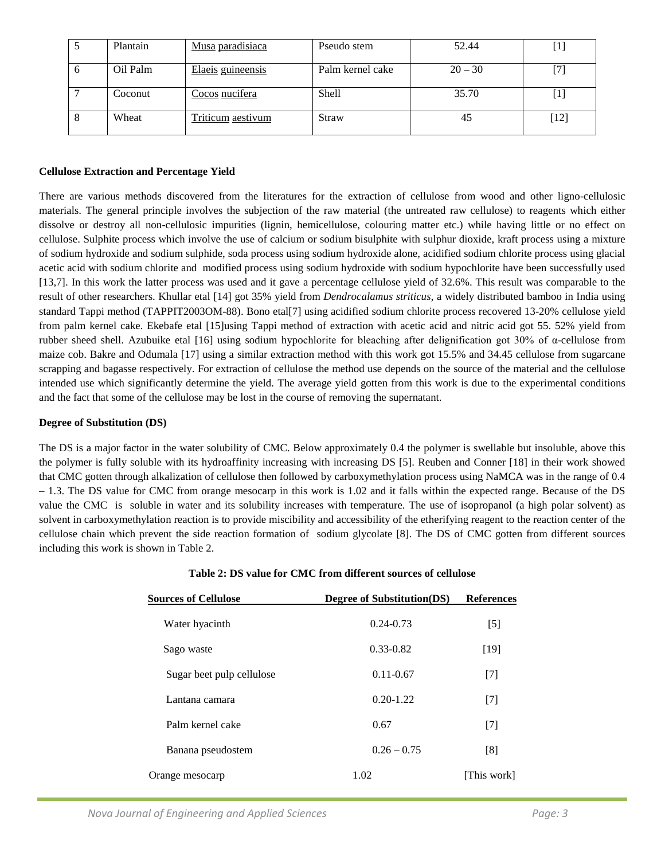|    | Plantain | Musa paradisiaca  | Pseudo stem      | 52.44     |      |
|----|----------|-------------------|------------------|-----------|------|
| -6 | Oil Palm | Elaeis guineensis | Palm kernel cake | $20 - 30$ |      |
|    | Coconut  | Cocos nucifera    | Shell            | 35.70     |      |
| 8  | Wheat    | Triticum aestivum | Straw            | 45        | [12] |

#### **Cellulose Extraction and Percentage Yield**

There are various methods discovered from the literatures for the extraction of cellulose from wood and other ligno-cellulosic materials. The general principle involves the subjection of the raw material (the untreated raw cellulose) to reagents which either dissolve or destroy all non-cellulosic impurities (lignin, hemicellulose, colouring matter etc.) while having little or no effect on cellulose. Sulphite process which involve the use of calcium or sodium bisulphite with sulphur dioxide, kraft process using a mixture of sodium hydroxide and sodium sulphide, soda process using sodium hydroxide alone, acidified sodium chlorite process using glacial acetic acid with sodium chlorite and modified process using sodium hydroxide with sodium hypochlorite have been successfully used [13,7]. In this work the latter process was used and it gave a percentage cellulose yield of 32.6%. This result was comparable to the result of other researchers. Khullar etal [14] got 35% yield from *Dendrocalamus striticus*, a widely distributed bamboo in India using standard Tappi method (TAPPIT2003OM-88). Bono etal[7] using acidified sodium chlorite process recovered 13-20% cellulose yield from palm kernel cake. Ekebafe etal [15]using Tappi method of extraction with acetic acid and nitric acid got 55. 52% yield from rubber sheed shell. Azubuike etal [16] using sodium hypochlorite for bleaching after delignification got 30% of α-cellulose from maize cob. Bakre and Odumala [17] using a similar extraction method with this work got 15.5% and 34.45 cellulose from sugarcane scrapping and bagasse respectively. For extraction of cellulose the method use depends on the source of the material and the cellulose intended use which significantly determine the yield. The average yield gotten from this work is due to the experimental conditions and the fact that some of the cellulose may be lost in the course of removing the supernatant.

#### **Degree of Substitution (DS)**

The DS is a major factor in the water solubility of CMC. Below approximately 0.4 the polymer is swellable but insoluble, above this the polymer is fully soluble with its hydroaffinity increasing with increasing DS [5]. Reuben and Conner [18] in their work showed that CMC gotten through alkalization of cellulose then followed by carboxymethylation process using NaMCA was in the range of 0.4 – 1.3. The DS value for CMC from orange mesocarp in this work is 1.02 and it falls within the expected range. Because of the DS value the CMC is soluble in water and its solubility increases with temperature. The use of isopropanol (a high polar solvent) as solvent in carboxymethylation reaction is to provide miscibility and accessibility of the etherifying reagent to the reaction center of the cellulose chain which prevent the side reaction formation of sodium glycolate [8]. The DS of CMC gotten from different sources including this work is shown in Table 2.

| <b>Sources of Cellulose</b> | Degree of Substitution(DS) | <b>References</b> |  |
|-----------------------------|----------------------------|-------------------|--|
| Water hyacinth              | $0.24 - 0.73$              | $[5]$             |  |
| Sago waste                  | $0.33 - 0.82$              | $[19]$            |  |
| Sugar beet pulp cellulose   | $0.11 - 0.67$              | $[7]$             |  |
| Lantana camara              | $0.20 - 1.22$              | $[7]$             |  |
| Palm kernel cake            | 0.67                       | $[7]$             |  |
| Banana pseudostem           | $0.26 - 0.75$              | [8]               |  |
| Orange mesocarp             | 1.02                       | [This work]       |  |

## **Table 2: DS value for CMC from different sources of cellulose**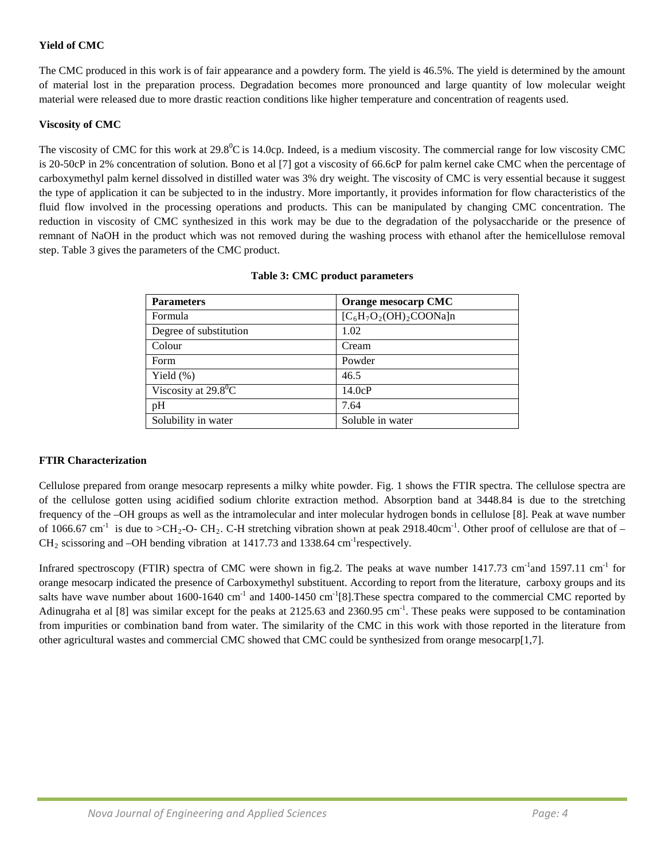# **Yield of CMC**

The CMC produced in this work is of fair appearance and a powdery form. The yield is 46.5%. The yield is determined by the amount of material lost in the preparation process. Degradation becomes more pronounced and large quantity of low molecular weight material were released due to more drastic reaction conditions like higher temperature and concentration of reagents used.

## **Viscosity of CMC**

The viscosity of CMC for this work at  $29.8^0\text{C}$  is 14.0cp. Indeed, is a medium viscosity. The commercial range for low viscosity CMC is 20-50cP in 2% concentration of solution. Bono et al [7] got a viscosity of 66.6cP for palm kernel cake CMC when the percentage of carboxymethyl palm kernel dissolved in distilled water was 3% dry weight. The viscosity of CMC is very essential because it suggest the type of application it can be subjected to in the industry. More importantly, it provides information for flow characteristics of the fluid flow involved in the processing operations and products. This can be manipulated by changing CMC concentration. The reduction in viscosity of CMC synthesized in this work may be due to the degradation of the polysaccharide or the presence of remnant of NaOH in the product which was not removed during the washing process with ethanol after the hemicellulose removal step. Table 3 gives the parameters of the CMC product.

| <b>Parameters</b>            | Orange mesocarp CMC       |
|------------------------------|---------------------------|
| Formula                      | $[C_6H_7O_2(OH)_2COONa]n$ |
| Degree of substitution       | 1.02                      |
| Colour                       | Cream                     |
| Form                         | Powder                    |
| Yield $(\%)$                 | 46.5                      |
| Viscosity at $29.8\degree C$ | 14.0cP                    |
| pH                           | 7.64                      |
| Solubility in water          | Soluble in water          |

## **Table 3: CMC product parameters**

# **FTIR Characterization**

Cellulose prepared from orange mesocarp represents a milky white powder. Fig. 1 shows the FTIR spectra. The cellulose spectra are of the cellulose gotten using acidified sodium chlorite extraction method. Absorption band at 3448.84 is due to the stretching frequency of the –OH groups as well as the intramolecular and inter molecular hydrogen bonds in cellulose [8]. Peak at wave number of 1066.67 cm<sup>-1</sup> is due to >CH<sub>2</sub>-O- CH<sub>2</sub>. C-H stretching vibration shown at peak 2918.40cm<sup>-1</sup>. Other proof of cellulose are that of –  $CH<sub>2</sub>$  scissoring and  $-OH$  bending vibration at 1417.73 and 1338.64 cm<sup>-1</sup>respectively.

Infrared spectroscopy (FTIR) spectra of CMC were shown in fig.2. The peaks at wave number  $1417.73 \text{ cm}^{-1}$  and  $1597.11 \text{ cm}^{-1}$  for orange mesocarp indicated the presence of Carboxymethyl substituent. According to report from the literature, carboxy groups and its salts have wave number about 1600-1640 cm<sup>-1</sup> and 1400-1450 cm<sup>-1</sup>[8]. These spectra compared to the commercial CMC reported by Adinugraha et al  $[8]$  was similar except for the peaks at 2125.63 and 2360.95 cm<sup>-1</sup>. These peaks were supposed to be contamination from impurities or combination band from water. The similarity of the CMC in this work with those reported in the literature from other agricultural wastes and commercial CMC showed that CMC could be synthesized from orange mesocarp[1,7].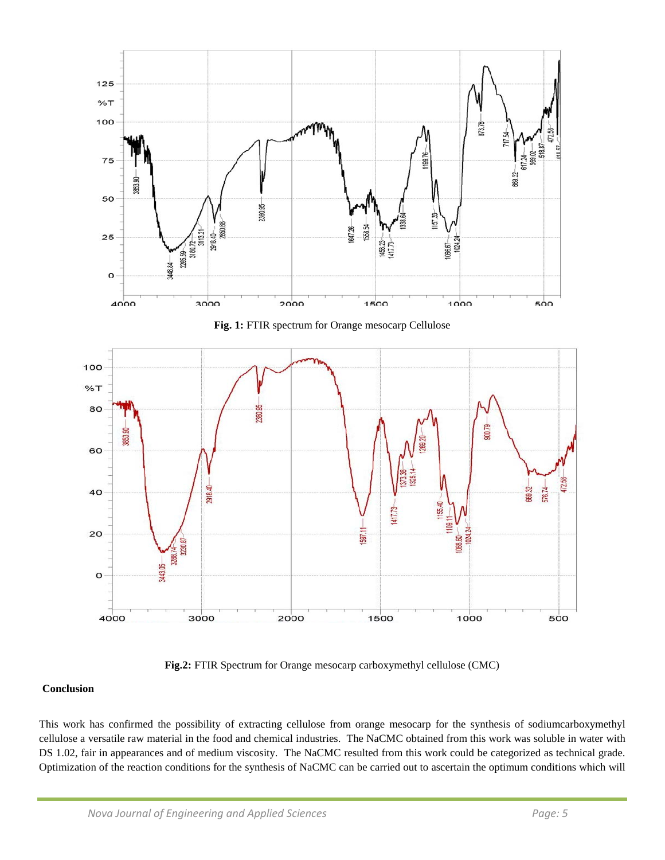





**Fig.2:** FTIR Spectrum for Orange mesocarp carboxymethyl cellulose (CMC)

# **Conclusion**

This work has confirmed the possibility of extracting cellulose from orange mesocarp for the synthesis of sodiumcarboxymethyl cellulose a versatile raw material in the food and chemical industries. The NaCMC obtained from this work was soluble in water with DS 1.02, fair in appearances and of medium viscosity. The NaCMC resulted from this work could be categorized as technical grade. Optimization of the reaction conditions for the synthesis of NaCMC can be carried out to ascertain the optimum conditions which will